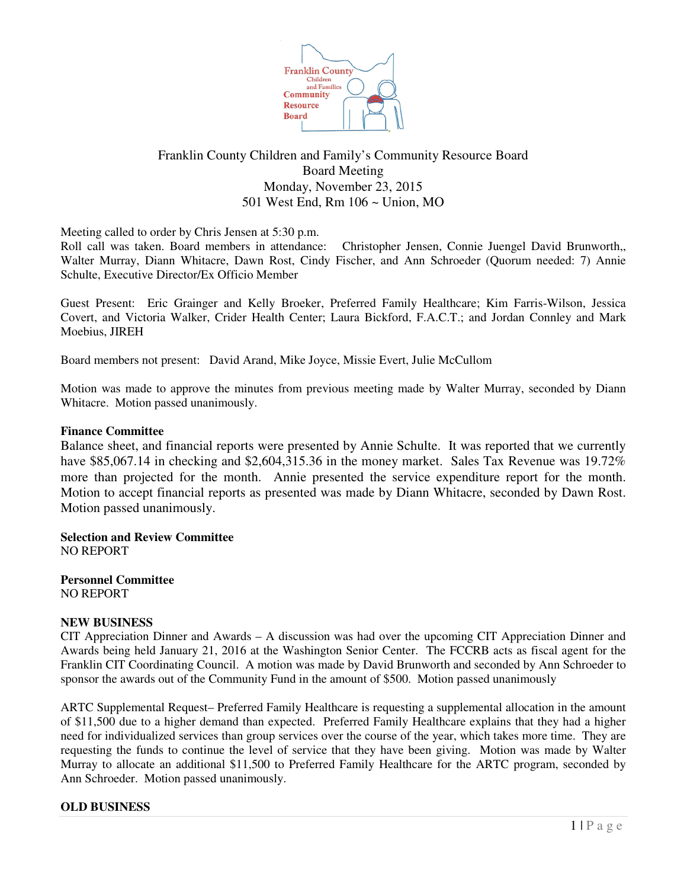

# Franklin County Children and Family's Community Resource Board Board Meeting Monday, November 23, 2015 501 West End, Rm 106 ~ Union, MO

Meeting called to order by Chris Jensen at 5:30 p.m.

Roll call was taken. Board members in attendance: Christopher Jensen, Connie Juengel David Brunworth,, Walter Murray, Diann Whitacre, Dawn Rost, Cindy Fischer, and Ann Schroeder (Quorum needed: 7) Annie Schulte, Executive Director/Ex Officio Member

Guest Present: Eric Grainger and Kelly Broeker, Preferred Family Healthcare; Kim Farris-Wilson, Jessica Covert, and Victoria Walker, Crider Health Center; Laura Bickford, F.A.C.T.; and Jordan Connley and Mark Moebius, JIREH

Board members not present: David Arand, Mike Joyce, Missie Evert, Julie McCullom

Motion was made to approve the minutes from previous meeting made by Walter Murray, seconded by Diann Whitacre. Motion passed unanimously.

## **Finance Committee**

Balance sheet, and financial reports were presented by Annie Schulte. It was reported that we currently have \$85,067.14 in checking and \$2,604,315.36 in the money market. Sales Tax Revenue was 19.72% more than projected for the month. Annie presented the service expenditure report for the month. Motion to accept financial reports as presented was made by Diann Whitacre, seconded by Dawn Rost. Motion passed unanimously.

**Selection and Review Committee** NO REPORT

**Personnel Committee** NO REPORT

## **NEW BUSINESS**

CIT Appreciation Dinner and Awards – A discussion was had over the upcoming CIT Appreciation Dinner and Awards being held January 21, 2016 at the Washington Senior Center. The FCCRB acts as fiscal agent for the Franklin CIT Coordinating Council. A motion was made by David Brunworth and seconded by Ann Schroeder to sponsor the awards out of the Community Fund in the amount of \$500. Motion passed unanimously

ARTC Supplemental Request– Preferred Family Healthcare is requesting a supplemental allocation in the amount of \$11,500 due to a higher demand than expected. Preferred Family Healthcare explains that they had a higher need for individualized services than group services over the course of the year, which takes more time. They are requesting the funds to continue the level of service that they have been giving. Motion was made by Walter Murray to allocate an additional \$11,500 to Preferred Family Healthcare for the ARTC program, seconded by Ann Schroeder. Motion passed unanimously.

## **OLD BUSINESS**